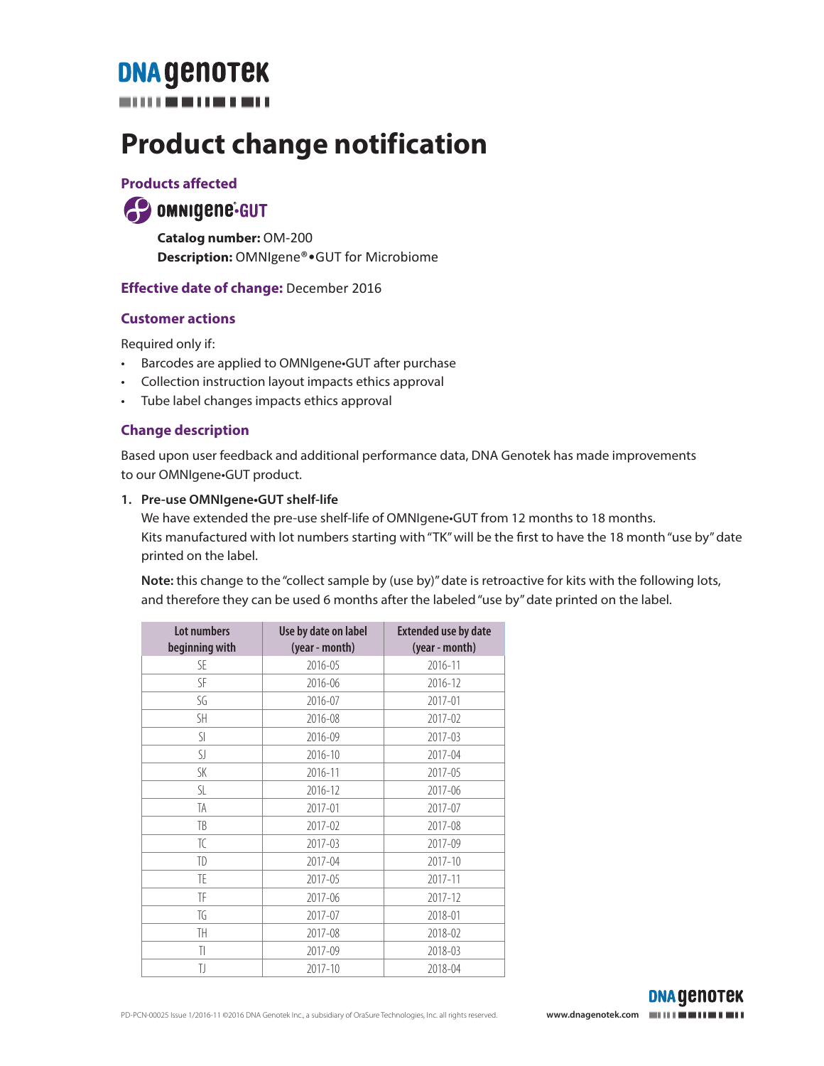## **DNA GENOTEK**

## **Product change notification**

### **Products affected**

### **49 OMNIGERIE-GUT**

**Catalog number:** OM-200 **Description:** OMNIgene®•GUT for Microbiome

### **Effective date of change:** December 2016

### **Customer actions**

Required only if:

- Barcodes are applied to OMNIgene•GUT after purchase
- Collection instruction layout impacts ethics approval
- Tube label changes impacts ethics approval

### **Change description**

Based upon user feedback and additional performance data, DNA Genotek has made improvements to our OMNIgene•GUT product.

### **1. Pre-use OMNIgene•GUT shelf-life**

We have extended the pre-use shelf-life of OMNIgene•GUT from 12 months to 18 months. Kits manufactured with lot numbers starting with "TK" will be the first to have the 18 month "use by" date printed on the label.

**Note:** this change to the "collect sample by (use by)" date is retroactive for kits with the following lots, and therefore they can be used 6 months after the labeled "use by" date printed on the label.

| Lot numbers<br>beginning with | Use by date on label<br>(year - month) | <b>Extended use by date</b><br>(year - month) |
|-------------------------------|----------------------------------------|-----------------------------------------------|
| SE                            | 2016-05                                | 2016-11                                       |
| SF                            | 2016-06                                | 2016-12                                       |
| SG                            | 2016-07                                | 2017-01                                       |
| SH.                           | 2016-08                                | 2017-02                                       |
| SI                            | 2016-09                                | 2017-03                                       |
| SJ                            | 2016-10                                | 2017-04                                       |
| SK                            | 2016-11                                | 2017-05                                       |
| SL                            | 2016-12                                | 2017-06                                       |
| TA                            | 2017-01                                | 2017-07                                       |
| TB                            | 2017-02                                | 2017-08                                       |
| TC                            | 2017-03                                | 2017-09                                       |
| TD                            | 2017-04                                | $2017 - 10$                                   |
| TE                            | 2017-05                                | 2017-11                                       |
| TF                            | 2017-06                                | 2017-12                                       |
| TG                            | 2017-07                                | 2018-01                                       |
| TH                            | 2017-08                                | 2018-02                                       |
| TI                            | 2017-09                                | 2018-03                                       |
| IJ                            | 2017-10                                | 2018-04                                       |